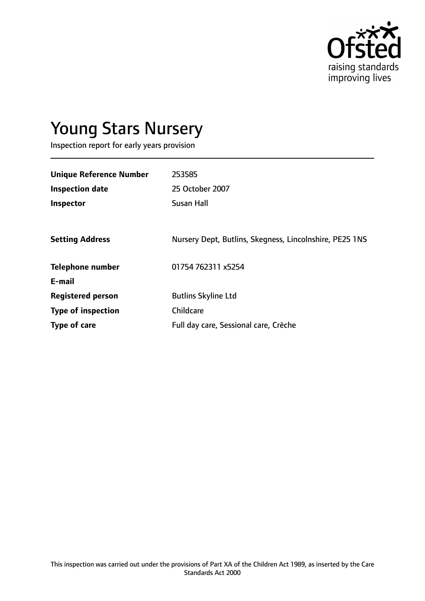

# Young Stars Nursery

Inspection report for early years provision

| <b>Unique Reference Number</b> | 253585                                                  |
|--------------------------------|---------------------------------------------------------|
| <b>Inspection date</b>         | 25 October 2007                                         |
| <b>Inspector</b>               | <b>Susan Hall</b>                                       |
|                                |                                                         |
| <b>Setting Address</b>         | Nursery Dept, Butlins, Skegness, Lincolnshire, PE25 1NS |
| <b>Telephone number</b>        | 01754 762311 x5254                                      |
| E-mail                         |                                                         |
| <b>Registered person</b>       | <b>Butlins Skyline Ltd</b>                              |
| <b>Type of inspection</b>      | <b>Childcare</b>                                        |
| Type of care                   | Full day care, Sessional care, Crèche                   |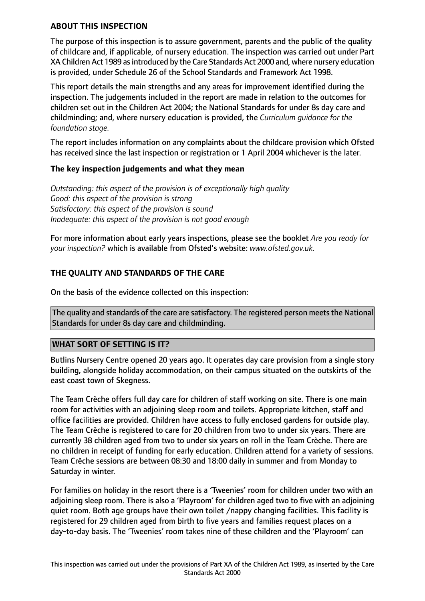#### **ABOUT THIS INSPECTION**

The purpose of this inspection is to assure government, parents and the public of the quality of childcare and, if applicable, of nursery education. The inspection was carried out under Part XA Children Act 1989 as introduced by the Care Standards Act 2000 and, where nursery education is provided, under Schedule 26 of the School Standards and Framework Act 1998.

This report details the main strengths and any areas for improvement identified during the inspection. The judgements included in the report are made in relation to the outcomes for children set out in the Children Act 2004; the National Standards for under 8s day care and childminding; and, where nursery education is provided, the *Curriculum guidance for the foundation stage.*

The report includes information on any complaints about the childcare provision which Ofsted has received since the last inspection or registration or 1 April 2004 whichever is the later.

#### **The key inspection judgements and what they mean**

*Outstanding: this aspect of the provision is of exceptionally high quality Good: this aspect of the provision is strong Satisfactory: this aspect of the provision is sound Inadequate: this aspect of the provision is not good enough*

For more information about early years inspections, please see the booklet *Are you ready for your inspection?* which is available from Ofsted's website: *www.ofsted.gov.uk.*

# **THE QUALITY AND STANDARDS OF THE CARE**

On the basis of the evidence collected on this inspection:

The quality and standards of the care are satisfactory. The registered person meets the National Standards for under 8s day care and childminding.

#### **WHAT SORT OF SETTING IS IT?**

Butlins Nursery Centre opened 20 years ago. It operates day care provision from a single story building, alongside holiday accommodation, on their campus situated on the outskirts of the east coast town of Skegness.

The Team Crèche offers full day care for children of staff working on site. There is one main room for activities with an adjoining sleep room and toilets. Appropriate kitchen, staff and office facilities are provided. Children have access to fully enclosed gardens for outside play. The Team Crèche is registered to care for 20 children from two to under six years. There are currently 38 children aged from two to under six years on roll in the Team Crèche. There are no children in receipt of funding for early education. Children attend for a variety of sessions. Team Crèche sessions are between 08:30 and 18:00 daily in summer and from Monday to Saturday in winter.

For families on holiday in the resort there is a 'Tweenies' room for children under two with an adjoining sleep room. There is also a 'Playroom' for children aged two to five with an adjoining quiet room. Both age groups have their own toilet /nappy changing facilities. This facility is registered for 29 children aged from birth to five years and families request places on a day-to-day basis. The 'Tweenies' room takes nine of these children and the 'Playroom' can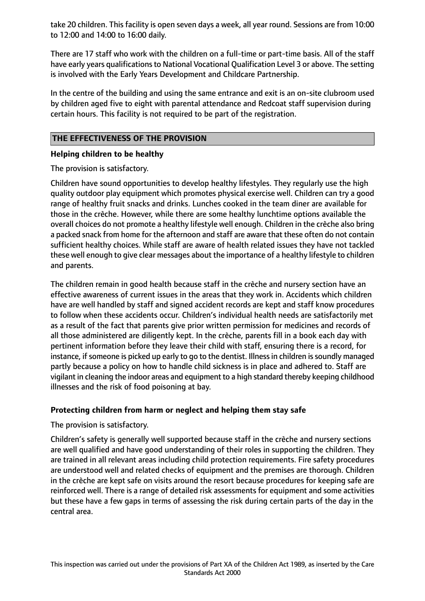take 20 children. This facility is open seven days a week, all year round. Sessions are from 10:00 to 12:00 and 14:00 to 16:00 daily.

There are 17 staff who work with the children on a full-time or part-time basis. All of the staff have early years qualifications to National Vocational Qualification Level 3 or above. The setting is involved with the Early Years Development and Childcare Partnership.

In the centre of the building and using the same entrance and exit is an on-site clubroom used by children aged five to eight with parental attendance and Redcoat staff supervision during certain hours. This facility is not required to be part of the registration.

## **THE EFFECTIVENESS OF THE PROVISION**

## **Helping children to be healthy**

The provision is satisfactory.

Children have sound opportunities to develop healthy lifestyles. They regularly use the high quality outdoor play equipment which promotes physical exercise well. Children can try a good range of healthy fruit snacks and drinks. Lunches cooked in the team diner are available for those in the crèche. However, while there are some healthy lunchtime options available the overall choices do not promote a healthy lifestyle well enough. Children in the crèche also bring a packed snack from home for the afternoon and staff are aware that these often do not contain sufficient healthy choices. While staff are aware of health related issues they have not tackled these well enough to give clear messages about the importance of a healthy lifestyle to children and parents.

The children remain in good health because staff in the crèche and nursery section have an effective awareness of current issues in the areas that they work in. Accidents which children have are well handled by staff and signed accident records are kept and staff know procedures to follow when these accidents occur. Children's individual health needs are satisfactorily met as a result of the fact that parents give prior written permission for medicines and records of all those administered are diligently kept. In the crèche, parents fill in a book each day with pertinent information before they leave their child with staff, ensuring there is a record, for instance, if someone is picked up early to go to the dentist. Illness in children is soundly managed partly because a policy on how to handle child sickness is in place and adhered to. Staff are vigilant in cleaning the indoor areas and equipment to a high standard thereby keeping childhood illnesses and the risk of food poisoning at bay.

# **Protecting children from harm or neglect and helping them stay safe**

#### The provision is satisfactory.

Children's safety is generally well supported because staff in the crèche and nursery sections are well qualified and have good understanding of their roles in supporting the children. They are trained in all relevant areas including child protection requirements. Fire safety procedures are understood well and related checks of equipment and the premises are thorough. Children in the crèche are kept safe on visits around the resort because procedures for keeping safe are reinforced well. There is a range of detailed risk assessments for equipment and some activities but these have a few gaps in terms of assessing the risk during certain parts of the day in the central area.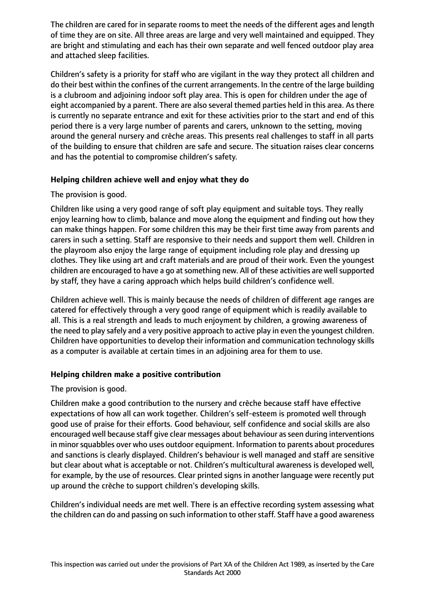The children are cared for in separate rooms to meet the needs of the different ages and length of time they are on site. All three areas are large and very well maintained and equipped. They are bright and stimulating and each has their own separate and well fenced outdoor play area and attached sleep facilities.

Children's safety is a priority for staff who are vigilant in the way they protect all children and do their best within the confines of the current arrangements. In the centre of the large building is a clubroom and adjoining indoor soft play area. This is open for children under the age of eight accompanied by a parent. There are also several themed parties held in this area. As there is currently no separate entrance and exit for these activities prior to the start and end of this period there is a very large number of parents and carers, unknown to the setting, moving around the general nursery and crèche areas. This presents real challenges to staff in all parts of the building to ensure that children are safe and secure. The situation raises clear concerns and has the potential to compromise children's safety.

## **Helping children achieve well and enjoy what they do**

## The provision is good.

Children like using a very good range of soft play equipment and suitable toys. They really enjoy learning how to climb, balance and move along the equipment and finding out how they can make things happen. For some children this may be their first time away from parents and carers in such a setting. Staff are responsive to their needs and support them well. Children in the playroom also enjoy the large range of equipment including role play and dressing up clothes. They like using art and craft materials and are proud of their work. Even the youngest children are encouraged to have a go at something new. All of these activities are well supported by staff, they have a caring approach which helps build children's confidence well.

Children achieve well. This is mainly because the needs of children of different age ranges are catered for effectively through a very good range of equipment which is readily available to all. This is a real strength and leads to much enjoyment by children, a growing awareness of the need to play safely and a very positive approach to active play in even the youngest children. Children have opportunities to develop their information and communication technology skills as a computer is available at certain times in an adjoining area for them to use.

# **Helping children make a positive contribution**

# The provision is good.

Children make a good contribution to the nursery and crèche because staff have effective expectations of how all can work together. Children's self-esteem is promoted well through good use of praise for their efforts. Good behaviour, self confidence and social skills are also encouraged well because staff give clear messages about behaviour as seen during interventions in minor squabbles over who uses outdoor equipment. Information to parents about procedures and sanctions is clearly displayed. Children's behaviour is well managed and staff are sensitive but clear about what is acceptable or not. Children's multicultural awareness is developed well, for example, by the use of resources. Clear printed signs in another language were recently put up around the crèche to support children's developing skills.

Children's individual needs are met well. There is an effective recording system assessing what the children can do and passing on such information to other staff. Staff have a good awareness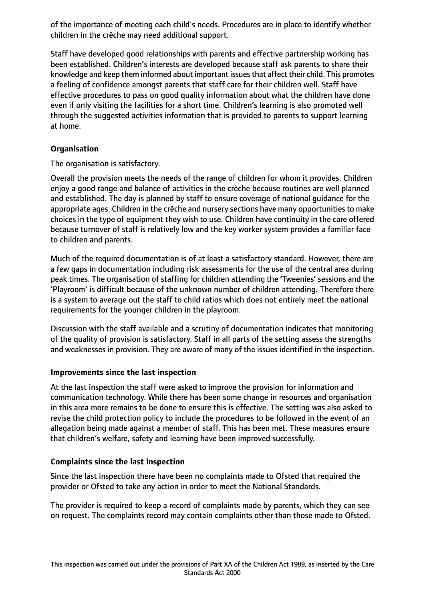of the importance of meeting each child's needs. Procedures are in place to identify whether children in the crèche may need additional support.

Staff have developed good relationships with parents and effective partnership working has been established. Children's interests are developed because staff ask parents to share their knowledge and keep them informed about important issuesthat affect their child. This promotes a feeling of confidence amongst parents that staff care for their children well. Staff have effective procedures to pass on good quality information about what the children have done even if only visiting the facilities for a short time. Children's learning is also promoted well through the suggested activities information that is provided to parents to support learning at home.

## **Organisation**

The organisation is satisfactory.

Overall the provision meets the needs of the range of children for whom it provides. Children enjoy a good range and balance of activities in the crèche because routines are well planned and established. The day is planned by staff to ensure coverage of national guidance for the appropriate ages. Children in the crèche and nursery sections have many opportunities to make choices in the type of equipment they wish to use. Children have continuity in the care offered because turnover of staff is relatively low and the key worker system provides a familiar face to children and parents.

Much of the required documentation is of at least a satisfactory standard. However, there are a few gaps in documentation including risk assessments for the use of the central area during peak times. The organisation of staffing for children attending the 'Tweenies' sessions and the 'Playroom' is difficult because of the unknown number of children attending. Therefore there is a system to average out the staff to child ratios which does not entirely meet the national requirements for the younger children in the playroom.

Discussion with the staff available and a scrutiny of documentation indicates that monitoring of the quality of provision is satisfactory. Staff in all parts of the setting assess the strengths and weaknesses in provision. They are aware of many of the issues identified in the inspection.

#### **Improvements since the last inspection**

At the last inspection the staff were asked to improve the provision for information and communication technology. While there has been some change in resources and organisation in this area more remains to be done to ensure this is effective. The setting was also asked to revise the child protection policy to include the procedures to be followed in the event of an allegation being made against a member of staff. This has been met. These measures ensure that children's welfare, safety and learning have been improved successfully.

#### **Complaints since the last inspection**

Since the last inspection there have been no complaints made to Ofsted that required the provider or Ofsted to take any action in order to meet the National Standards.

The provider is required to keep a record of complaints made by parents, which they can see on request. The complaints record may contain complaints other than those made to Ofsted.